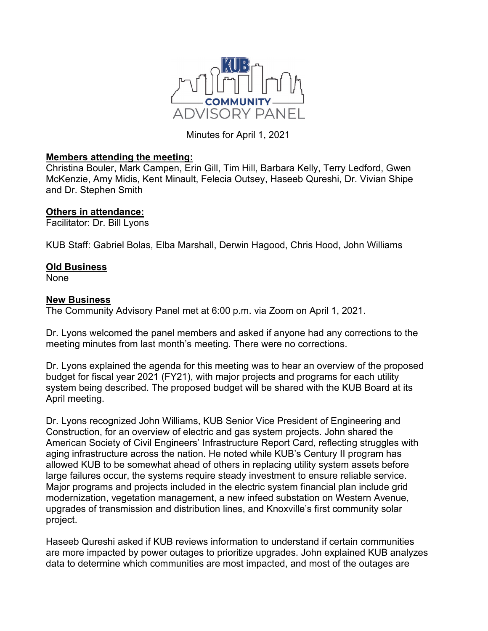

Minutes for April 1, 2021

## **Members attending the meeting:**

Christina Bouler, Mark Campen, Erin Gill, Tim Hill, Barbara Kelly, Terry Ledford, Gwen McKenzie, Amy Midis, Kent Minault, Felecia Outsey, Haseeb Qureshi, Dr. Vivian Shipe and Dr. Stephen Smith

## **Others in attendance:**

Facilitator: Dr. Bill Lyons

KUB Staff: Gabriel Bolas, Elba Marshall, Derwin Hagood, Chris Hood, John Williams

## **Old Business**

None

## **New Business**

The Community Advisory Panel met at 6:00 p.m. via Zoom on April 1, 2021.

Dr. Lyons welcomed the panel members and asked if anyone had any corrections to the meeting minutes from last month's meeting. There were no corrections.

Dr. Lyons explained the agenda for this meeting was to hear an overview of the proposed budget for fiscal year 2021 (FY21), with major projects and programs for each utility system being described. The proposed budget will be shared with the KUB Board at its April meeting.

Dr. Lyons recognized John Williams, KUB Senior Vice President of Engineering and Construction, for an overview of electric and gas system projects. John shared the American Society of Civil Engineers' Infrastructure Report Card, reflecting struggles with aging infrastructure across the nation. He noted while KUB's Century II program has allowed KUB to be somewhat ahead of others in replacing utility system assets before large failures occur, the systems require steady investment to ensure reliable service. Major programs and projects included in the electric system financial plan include grid modernization, vegetation management, a new infeed substation on Western Avenue, upgrades of transmission and distribution lines, and Knoxville's first community solar project.

Haseeb Qureshi asked if KUB reviews information to understand if certain communities are more impacted by power outages to prioritize upgrades. John explained KUB analyzes data to determine which communities are most impacted, and most of the outages are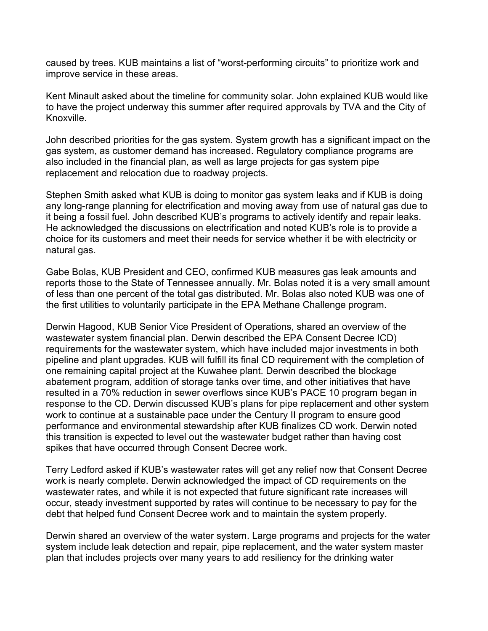caused by trees. KUB maintains a list of "worst-performing circuits" to prioritize work and improve service in these areas.

Kent Minault asked about the timeline for community solar. John explained KUB would like to have the project underway this summer after required approvals by TVA and the City of Knoxville.

John described priorities for the gas system. System growth has a significant impact on the gas system, as customer demand has increased. Regulatory compliance programs are also included in the financial plan, as well as large projects for gas system pipe replacement and relocation due to roadway projects.

Stephen Smith asked what KUB is doing to monitor gas system leaks and if KUB is doing any long-range planning for electrification and moving away from use of natural gas due to it being a fossil fuel. John described KUB's programs to actively identify and repair leaks. He acknowledged the discussions on electrification and noted KUB's role is to provide a choice for its customers and meet their needs for service whether it be with electricity or natural gas.

Gabe Bolas, KUB President and CEO, confirmed KUB measures gas leak amounts and reports those to the State of Tennessee annually. Mr. Bolas noted it is a very small amount of less than one percent of the total gas distributed. Mr. Bolas also noted KUB was one of the first utilities to voluntarily participate in the EPA Methane Challenge program.

Derwin Hagood, KUB Senior Vice President of Operations, shared an overview of the wastewater system financial plan. Derwin described the EPA Consent Decree ICD) requirements for the wastewater system, which have included major investments in both pipeline and plant upgrades. KUB will fulfill its final CD requirement with the completion of one remaining capital project at the Kuwahee plant. Derwin described the blockage abatement program, addition of storage tanks over time, and other initiatives that have resulted in a 70% reduction in sewer overflows since KUB's PACE 10 program began in response to the CD. Derwin discussed KUB's plans for pipe replacement and other system work to continue at a sustainable pace under the Century II program to ensure good performance and environmental stewardship after KUB finalizes CD work. Derwin noted this transition is expected to level out the wastewater budget rather than having cost spikes that have occurred through Consent Decree work.

Terry Ledford asked if KUB's wastewater rates will get any relief now that Consent Decree work is nearly complete. Derwin acknowledged the impact of CD requirements on the wastewater rates, and while it is not expected that future significant rate increases will occur, steady investment supported by rates will continue to be necessary to pay for the debt that helped fund Consent Decree work and to maintain the system properly.

Derwin shared an overview of the water system. Large programs and projects for the water system include leak detection and repair, pipe replacement, and the water system master plan that includes projects over many years to add resiliency for the drinking water